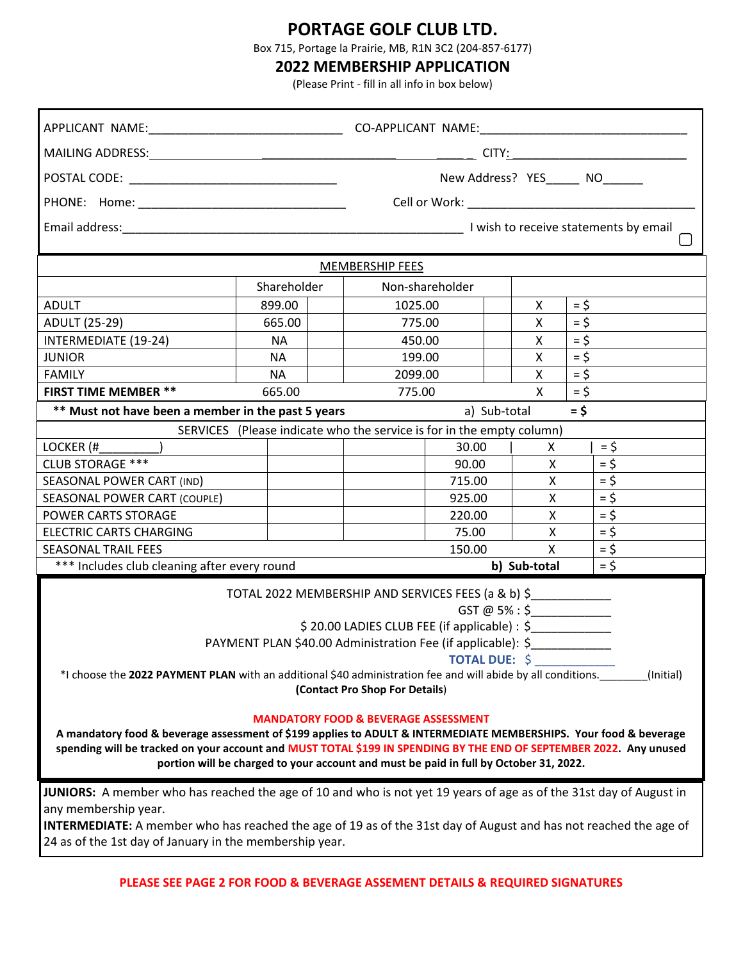## **PORTAGE GOLF CLUB LTD.**

Box 715, Portage la Prairie, MB, R1N 3C2 (204-857-6177)

## **2022 MEMBERSHIP APPLICATION**

(Please Print - fill in all info in box below)

|                                                                                                                                                                                                                                                                                                                                  |             |  | New Address? YES______ NO______ |                        |    |        |                    |  |
|----------------------------------------------------------------------------------------------------------------------------------------------------------------------------------------------------------------------------------------------------------------------------------------------------------------------------------|-------------|--|---------------------------------|------------------------|----|--------|--------------------|--|
|                                                                                                                                                                                                                                                                                                                                  |             |  |                                 |                        |    |        |                    |  |
|                                                                                                                                                                                                                                                                                                                                  |             |  |                                 |                        |    |        |                    |  |
| MEMBERSHIP FEES                                                                                                                                                                                                                                                                                                                  |             |  |                                 |                        |    |        |                    |  |
|                                                                                                                                                                                                                                                                                                                                  | Shareholder |  | Non-shareholder                 |                        |    |        |                    |  |
| <b>ADULT</b>                                                                                                                                                                                                                                                                                                                     | 899.00      |  | 1025.00                         |                        | X. | $=$ \$ |                    |  |
| <b>ADULT (25-29)</b>                                                                                                                                                                                                                                                                                                             | 665.00      |  | 775.00                          |                        | X  | $=$ \$ |                    |  |
| INTERMEDIATE (19-24)                                                                                                                                                                                                                                                                                                             | <b>NA</b>   |  | 450.00                          |                        | X. | $= 5$  |                    |  |
| <b>JUNIOR</b>                                                                                                                                                                                                                                                                                                                    | NA          |  | 199.00                          |                        | X  | $=$ \$ |                    |  |
| <b>FAMILY</b>                                                                                                                                                                                                                                                                                                                    | <b>NA</b>   |  | 2099.00                         |                        | X  | $=$ \$ |                    |  |
| <b>FIRST TIME MEMBER **</b>                                                                                                                                                                                                                                                                                                      | 665.00      |  | 775.00                          |                        | X  | $= 5$  |                    |  |
| ** Must not have been a member in the past 5 years                                                                                                                                                                                                                                                                               |             |  | $=$ \$<br>a) Sub-total          |                        |    |        |                    |  |
| SERVICES (Please indicate who the service is for in the empty column)                                                                                                                                                                                                                                                            |             |  |                                 |                        |    |        |                    |  |
| LOCKER (#                                                                                                                                                                                                                                                                                                                        |             |  |                                 | 30.00                  | X  |        | $=$ \$             |  |
| <b>CLUB STORAGE ***</b>                                                                                                                                                                                                                                                                                                          |             |  |                                 | 90.00                  | X  |        | $= 5$              |  |
| SEASONAL POWER CART (IND)                                                                                                                                                                                                                                                                                                        |             |  |                                 | 715.00<br>X            |    |        | $=$ \$             |  |
| SEASONAL POWER CART (COUPLE)                                                                                                                                                                                                                                                                                                     |             |  |                                 | 925.00<br>X            |    |        | $=$ \$             |  |
| POWER CARTS STORAGE                                                                                                                                                                                                                                                                                                              |             |  |                                 | 220.00<br>X            |    |        | $=$ \$             |  |
| <b>ELECTRIC CARTS CHARGING</b>                                                                                                                                                                                                                                                                                                   |             |  |                                 | 75.00<br>X             |    |        | $=$ $\overline{5}$ |  |
| <b>SEASONAL TRAIL FEES</b>                                                                                                                                                                                                                                                                                                       |             |  |                                 | 150.00<br>$\mathsf{X}$ |    |        | $=$ \$             |  |
| *** Includes club cleaning after every round                                                                                                                                                                                                                                                                                     |             |  |                                 | b) Sub-total           |    |        | $=$ \$             |  |
| TOTAL 2022 MEMBERSHIP AND SERVICES FEES (a & b) \$<br>$GST @ 5\% : $$<br>\$20.00 LADIES CLUB FEE (if applicable) : \$<br>PAYMENT PLAN \$40.00 Administration Fee (if applicable): \$<br><b>TOTAL DUE: \$</b>                                                                                                                     |             |  |                                 |                        |    |        |                    |  |
| *I choose the 2022 PAYMENT PLAN with an additional \$40 administration fee and will abide by all conditions.<br>(Initial)<br>(Contact Pro Shop For Details)<br><b>MANDATORY FOOD &amp; BEVERAGE ASSESSMENT</b>                                                                                                                   |             |  |                                 |                        |    |        |                    |  |
| A mandatory food & beverage assessment of \$199 applies to ADULT & INTERMEDIATE MEMBERSHIPS. Your food & beverage<br>spending will be tracked on your account and MUST TOTAL \$199 IN SPENDING BY THE END OF SEPTEMBER 2022. Any unused<br>portion will be charged to your account and must be paid in full by October 31, 2022. |             |  |                                 |                        |    |        |                    |  |
| JUNIORS: A member who has reached the age of 10 and who is not yet 19 years of age as of the 31st day of August in<br>any membership year.<br><b>INTERMEDIATE:</b> A member who has reached the age of 19 as of the 31st day of August and has not reached the age of<br>24 as of the 1st day of January in the membership year. |             |  |                                 |                        |    |        |                    |  |